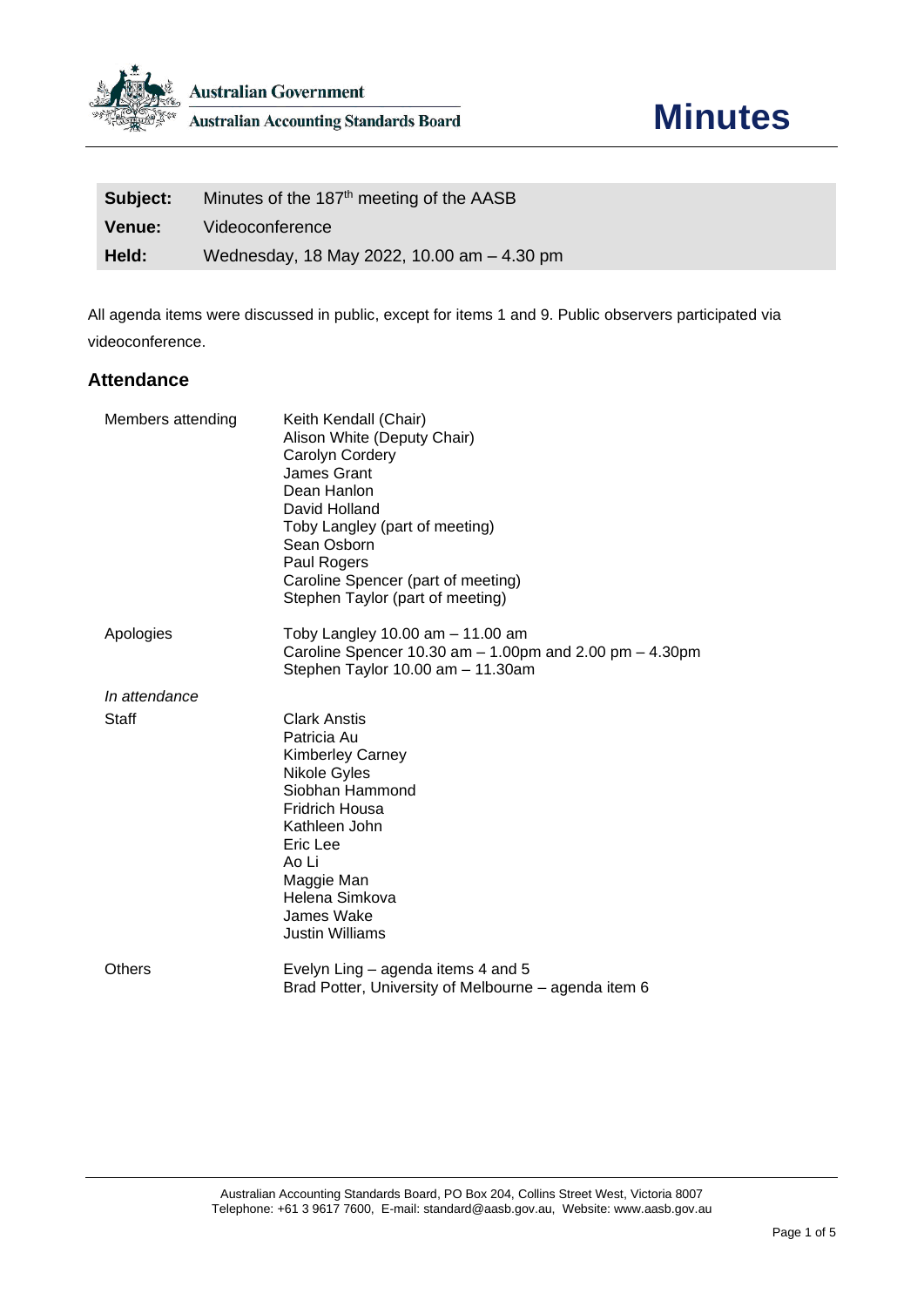

| Subject: | Minutes of the 187 <sup>th</sup> meeting of the AASB |
|----------|------------------------------------------------------|
| Venue:   | Videoconference                                      |
| Held:    | Wednesday, 18 May 2022, 10.00 am - 4.30 pm           |

All agenda items were discussed in public, except for items 1 and 9. Public observers participated via videoconference.

## **Attendance**

| Members attending | Keith Kendall (Chair)<br>Alison White (Deputy Chair)<br>Carolyn Cordery<br>James Grant<br>Dean Hanlon<br>David Holland<br>Toby Langley (part of meeting)<br>Sean Osborn<br>Paul Rogers<br>Caroline Spencer (part of meeting)<br>Stephen Taylor (part of meeting) |
|-------------------|------------------------------------------------------------------------------------------------------------------------------------------------------------------------------------------------------------------------------------------------------------------|
| Apologies         | Toby Langley $10.00$ am $-11.00$ am<br>Caroline Spencer 10.30 am $-$ 1.00pm and 2.00 pm $-$ 4.30pm<br>Stephen Taylor 10.00 am - 11.30am                                                                                                                          |
| In attendance     |                                                                                                                                                                                                                                                                  |
| Staff             | <b>Clark Anstis</b><br>Patricia Au<br><b>Kimberley Carney</b><br>Nikole Gyles<br>Siobhan Hammond<br><b>Fridrich Housa</b><br>Kathleen John<br>Eric Lee<br>Ao Li<br>Maggie Man<br>Helena Simkova<br>James Wake<br><b>Justin Williams</b>                          |
| Others            | Evelyn Ling – agenda items 4 and 5<br>Brad Potter, University of Melbourne – agenda item 6                                                                                                                                                                       |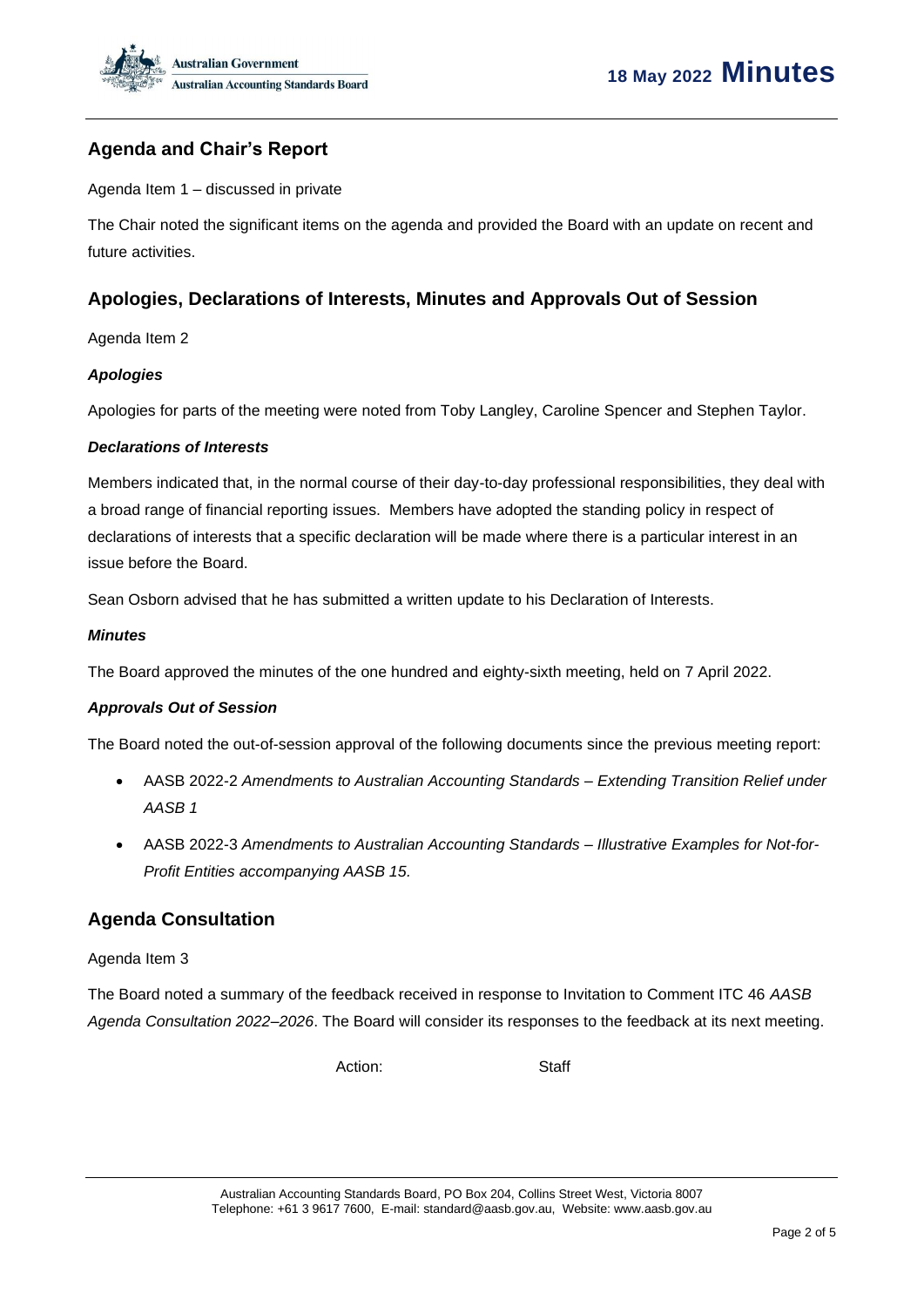

# **Agenda and Chair's Report**

Agenda Item 1 – discussed in private

The Chair noted the significant items on the agenda and provided the Board with an update on recent and future activities.

# **Apologies, Declarations of Interests, Minutes and Approvals Out of Session**

Agenda Item 2

### *Apologies*

Apologies for parts of the meeting were noted from Toby Langley, Caroline Spencer and Stephen Taylor.

#### *Declarations of Interests*

Members indicated that, in the normal course of their day-to-day professional responsibilities, they deal with a broad range of financial reporting issues. Members have adopted the standing policy in respect of declarations of interests that a specific declaration will be made where there is a particular interest in an issue before the Board.

Sean Osborn advised that he has submitted a written update to his Declaration of Interests.

#### *Minutes*

The Board approved the minutes of the one hundred and eighty-sixth meeting, held on 7 April 2022.

#### *Approvals Out of Session*

The Board noted the out-of-session approval of the following documents since the previous meeting report:

- AASB 2022-2 *Amendments to Australian Accounting Standards – Extending Transition Relief under AASB 1*
- AASB 2022-3 *Amendments to Australian Accounting Standards – Illustrative Examples for Not-for-Profit Entities accompanying AASB 15.*

## **Agenda Consultation**

#### Agenda Item 3

The Board noted a summary of the feedback received in response to Invitation to Comment ITC 46 *AASB Agenda Consultation 2022–2026*. The Board will consider its responses to the feedback at its next meeting.

Action: Staff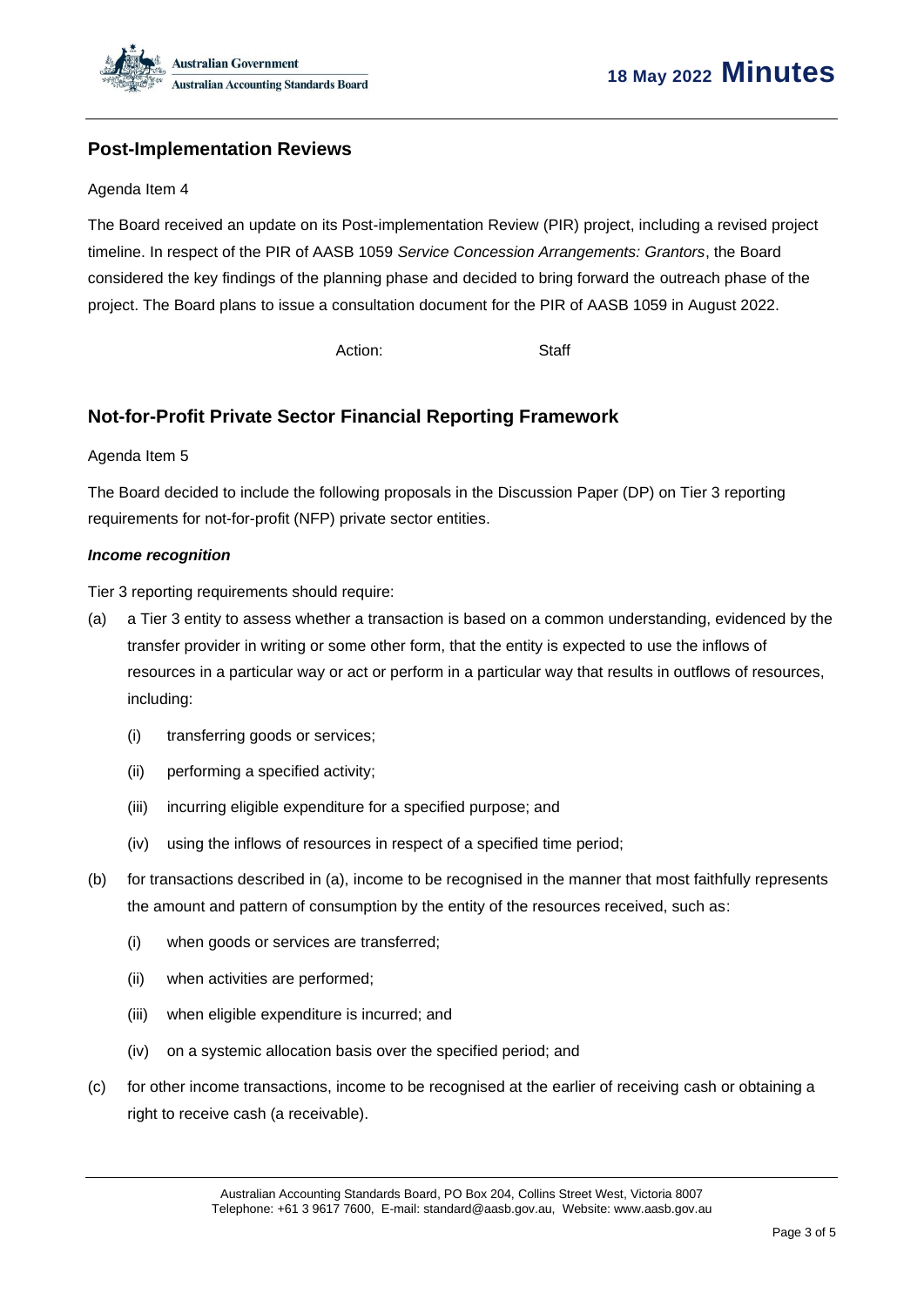

# **Post-Implementation Reviews**

#### Agenda Item 4

The Board received an update on its Post-implementation Review (PIR) project, including a revised project timeline. In respect of the PIR of AASB 1059 *Service Concession Arrangements: Grantors*, the Board considered the key findings of the planning phase and decided to bring forward the outreach phase of the project. The Board plans to issue a consultation document for the PIR of AASB 1059 in August 2022.

Action: Staff

## **Not-for-Profit Private Sector Financial Reporting Framework**

#### Agenda Item 5

The Board decided to include the following proposals in the Discussion Paper (DP) on Tier 3 reporting requirements for not-for-profit (NFP) private sector entities.

### *Income recognition*

Tier 3 reporting requirements should require:

- (a) a Tier 3 entity to assess whether a transaction is based on a common understanding, evidenced by the transfer provider in writing or some other form, that the entity is expected to use the inflows of resources in a particular way or act or perform in a particular way that results in outflows of resources, including:
	- (i) transferring goods or services;
	- (ii) performing a specified activity;
	- (iii) incurring eligible expenditure for a specified purpose; and
	- (iv) using the inflows of resources in respect of a specified time period;
- (b) for transactions described in (a), income to be recognised in the manner that most faithfully represents the amount and pattern of consumption by the entity of the resources received, such as:
	- (i) when goods or services are transferred;
	- (ii) when activities are performed;
	- (iii) when eligible expenditure is incurred; and
	- (iv) on a systemic allocation basis over the specified period; and
- (c) for other income transactions, income to be recognised at the earlier of receiving cash or obtaining a right to receive cash (a receivable).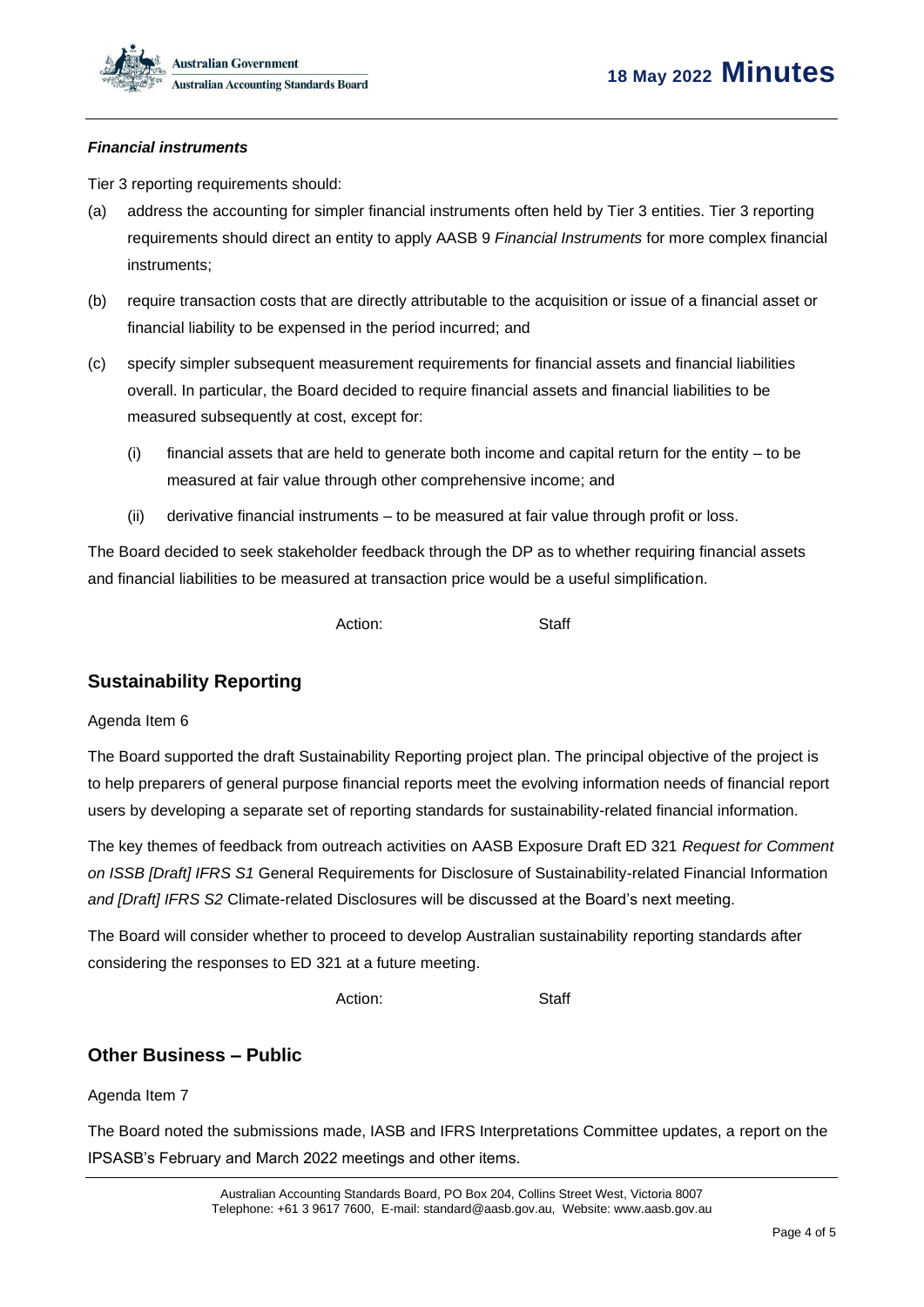### *Financial instruments*

Tier 3 reporting requirements should:

- (a) address the accounting for simpler financial instruments often held by Tier 3 entities. Tier 3 reporting requirements should direct an entity to apply AASB 9 *Financial Instruments* for more complex financial instruments;
- (b) require transaction costs that are directly attributable to the acquisition or issue of a financial asset or financial liability to be expensed in the period incurred; and
- (c) specify simpler subsequent measurement requirements for financial assets and financial liabilities overall. In particular, the Board decided to require financial assets and financial liabilities to be measured subsequently at cost, except for:
	- (i) financial assets that are held to generate both income and capital return for the entity to be measured at fair value through other comprehensive income; and
	- (ii) derivative financial instruments to be measured at fair value through profit or loss.

The Board decided to seek stakeholder feedback through the DP as to whether requiring financial assets and financial liabilities to be measured at transaction price would be a useful simplification.

Action: Staff

## **Sustainability Reporting**

#### Agenda Item 6

The Board supported the draft Sustainability Reporting project plan. The principal objective of the project is to help preparers of general purpose financial reports meet the evolving information needs of financial report users by developing a separate set of reporting standards for sustainability-related financial information.

The key themes of feedback from outreach activities on AASB Exposure Draft ED 321 *Request for Comment on ISSB [Draft] IFRS S1* General Requirements for Disclosure of Sustainability-related Financial Information *and [Draft] IFRS S2* Climate-related Disclosures will be discussed at the Board's next meeting.

The Board will consider whether to proceed to develop Australian sustainability reporting standards after considering the responses to ED 321 at a future meeting.

Action: Staff

## **Other Business – Public**

Agenda Item 7

The Board noted the submissions made, IASB and IFRS Interpretations Committee updates, a report on the IPSASB's February and March 2022 meetings and other items.